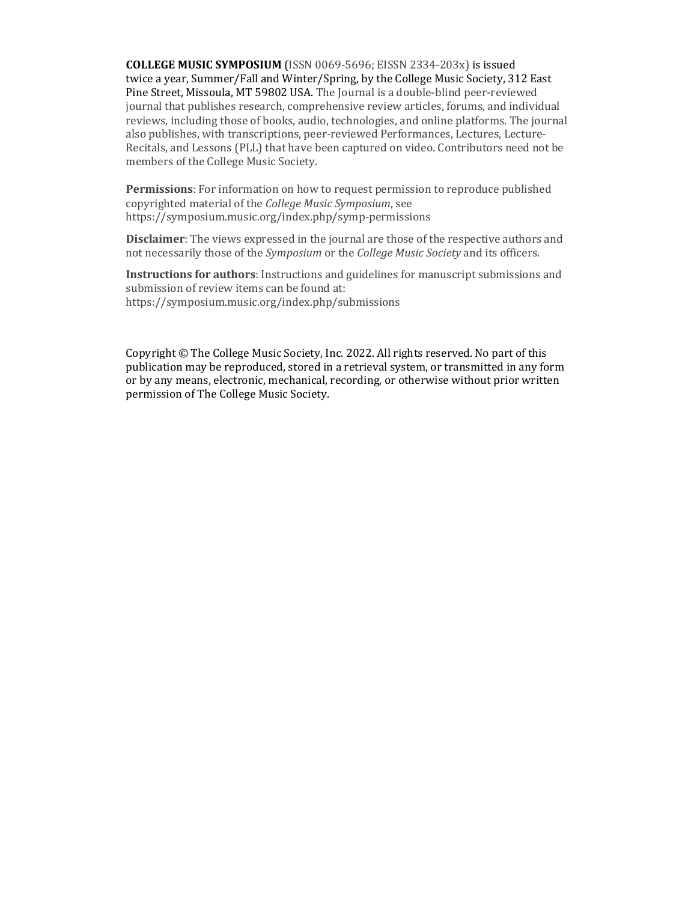COLLEGE MUSIC SYMPOSIUM (ISSN 0069-5696; EISSN 2334-203x) is issued twice a year, Summer/Fall and Winter/Spring, by the College Music Society, 312 East Pine Street, Missoula, MT 59802 USA. The Journal is a double-blind peer-reviewed journal that publishes research, comprehensive review articles, forums, and individual reviews, including those of books, audio, technologies, and online platforms. The journal also publishes, with transcriptions, peer-reviewed Performances, Lectures, Lecture-Recitals, and Lessons (PLL) that have been captured on video. Contributors need not be members of the College Music Society.

Permissions: For information on how to request permission to reproduce published copyrighted material of the College Music Symposium, see https://symposium.music.org/index.php/symp-permissions

Disclaimer: The views expressed in the journal are those of the respective authors and not necessarily those of the Symposium or the College Music Society and its officers.

Instructions for authors: Instructions and guidelines for manuscript submissions and submission of review items can be found at: https://symposium.music.org/index.php/submissions

Copyright © The College Music Society, Inc. 2022. All rights reserved. No part of this publication may be reproduced, stored in a retrieval system, or transmitted in any form or by any means, electronic, mechanical, recording, or otherwise without prior written permission of The College Music Society.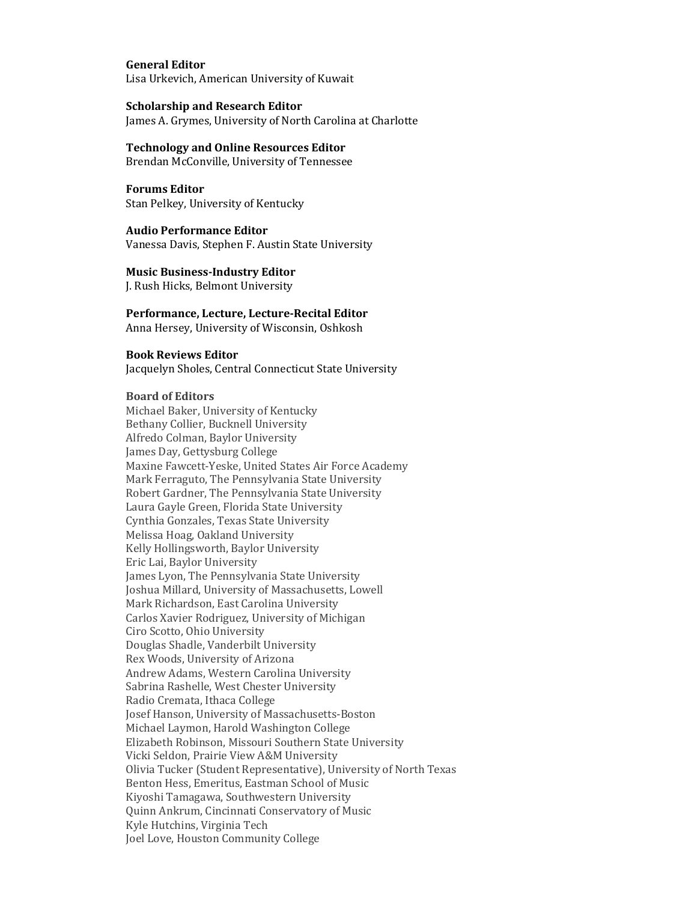### General Editor

Lisa Urkevich, American University of Kuwait

#### Scholarship and Research Editor

James A. Grymes, University of North Carolina at Charlotte

#### Technology and Online Resources Editor

Brendan McConville, University of Tennessee

Forums Editor Stan Pelkey, University of Kentucky

Audio Performance Editor Vanessa Davis, Stephen F. Austin State University

#### Music Business-Industry Editor

J. Rush Hicks, Belmont University

#### Performance, Lecture, Lecture-Recital Editor

Anna Hersey, University of Wisconsin, Oshkosh

#### Book Reviews Editor

Jacquelyn Sholes, Central Connecticut State University

#### Board of Editors

Michael Baker, University of Kentucky Bethany Collier, Bucknell University Alfredo Colman, Baylor University James Day, Gettysburg College Maxine Fawcett-Yeske, United States Air Force Academy Mark Ferraguto, The Pennsylvania State University Robert Gardner, The Pennsylvania State University Laura Gayle Green, Florida State University Cynthia Gonzales, Texas State University Melissa Hoag, Oakland University Kelly Hollingsworth, Baylor University Eric Lai, Baylor University James Lyon, The Pennsylvania State University Joshua Millard, University of Massachusetts, Lowell Mark Richardson, East Carolina University Carlos Xavier Rodriguez, University of Michigan Ciro Scotto, Ohio University Douglas Shadle, Vanderbilt University Rex Woods, University of Arizona Andrew Adams, Western Carolina University Sabrina Rashelle, West Chester University Radio Cremata, Ithaca College Josef Hanson, University of Massachusetts-Boston Michael Laymon, Harold Washington College Elizabeth Robinson, Missouri Southern State University Vicki Seldon, Prairie View A&M University Olivia Tucker (Student Representative), University of North Texas Benton Hess, Emeritus, Eastman School of Music Kiyoshi Tamagawa, Southwestern University Quinn Ankrum, Cincinnati Conservatory of Music Kyle Hutchins, Virginia Tech Joel Love, Houston Community College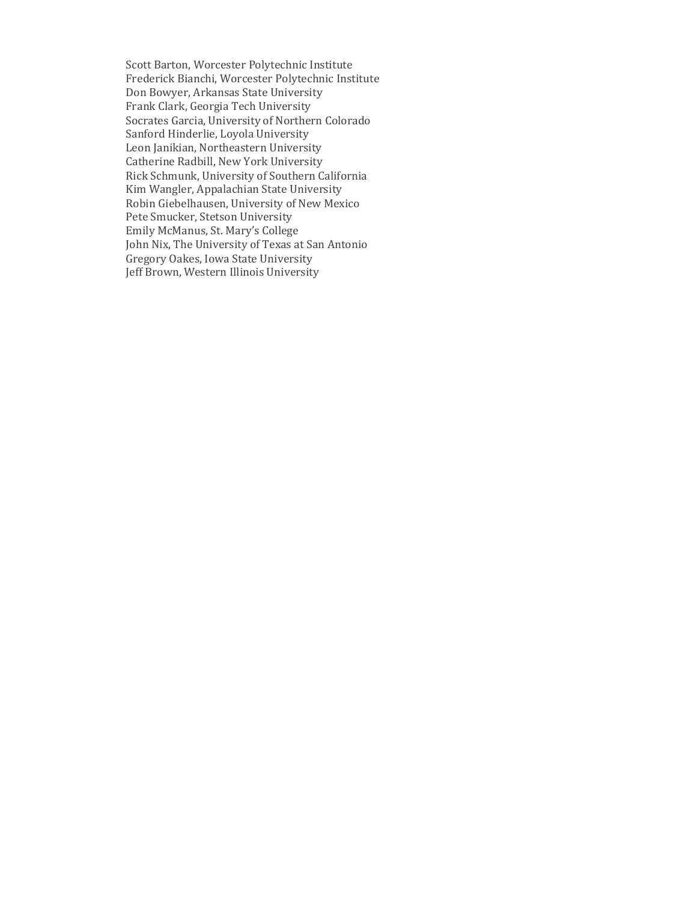Scott Barton, Worcester Polytechnic Institute Frederick Bianchi, Worcester Polytechnic Institute Don Bowyer, Arkansas State University Frank Clark, Georgia Tech University Socrates Garcia, University of Northern Colorado Sanford Hinderlie, Loyola University Leon Janikian, Northeastern University Catherine Radbill, New York University Rick Schmunk, University of Southern California Kim Wangler, Appalachian State University Robin Giebelhausen, University of New Mexico Pete Smucker, Stetson University Emily McManus, St. Mary's College John Nix, The University of Texas at San Antonio Gregory Oakes, Iowa State University Jeff Brown, Western Illinois University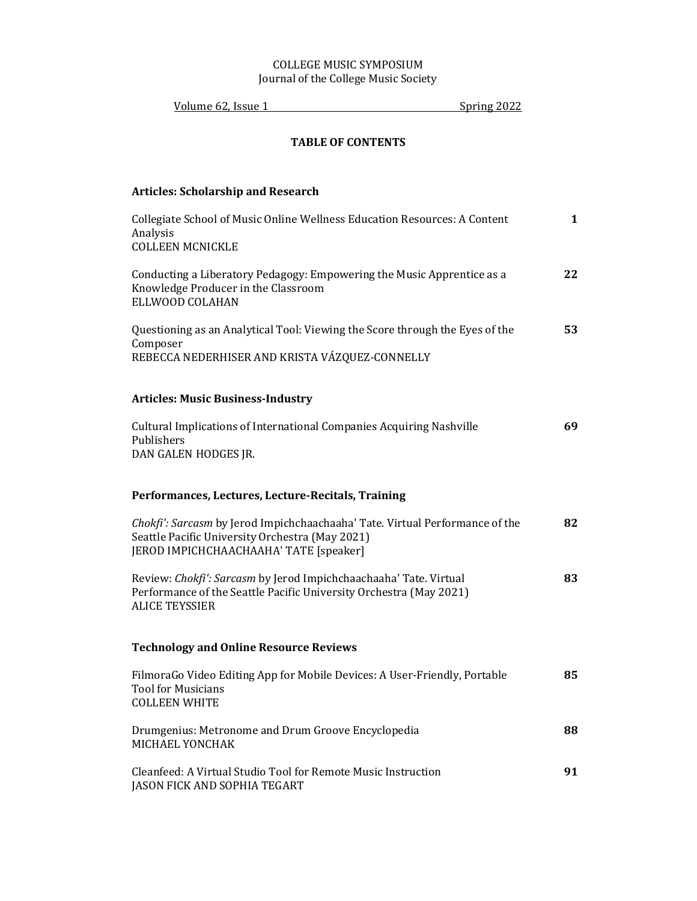# COLLEGE MUSIC SYMPOSIUM Journal of the College Music Society

Volume 62, Issue 1 Spring 2022

## TABLE OF CONTENTS

# Articles: Scholarship and Research

| Collegiate School of Music Online Wellness Education Resources: A Content<br>Analysis<br><b>COLLEEN MCNICKLE</b>                                                          | $\mathbf{1}$ |
|---------------------------------------------------------------------------------------------------------------------------------------------------------------------------|--------------|
| Conducting a Liberatory Pedagogy: Empowering the Music Apprentice as a<br>Knowledge Producer in the Classroom<br>ELLWOOD COLAHAN                                          | 22           |
| Questioning as an Analytical Tool: Viewing the Score through the Eyes of the<br>Composer<br>REBECCA NEDERHISER AND KRISTA VÁZQUEZ-CONNELLY                                | 53           |
| <b>Articles: Music Business-Industry</b>                                                                                                                                  |              |
| Cultural Implications of International Companies Acquiring Nashville<br>Publishers<br>DAN GALEN HODGES JR.                                                                | 69           |
| Performances, Lectures, Lecture-Recitals, Training                                                                                                                        |              |
| Chokfi': Sarcasm by Jerod Impichchaachaaha' Tate. Virtual Performance of the<br>Seattle Pacific University Orchestra (May 2021)<br>JEROD IMPICHCHAACHAAHA' TATE [speaker] | 82           |
| Review: Chokfi': Sarcasm by Jerod Impichchaachaaha' Tate. Virtual<br>Performance of the Seattle Pacific University Orchestra (May 2021)<br><b>ALICE TEYSSIER</b>          | 83           |
| <b>Technology and Online Resource Reviews</b>                                                                                                                             |              |
| FilmoraGo Video Editing App for Mobile Devices: A User-Friendly, Portable<br><b>Tool for Musicians</b><br><b>COLLEEN WHITE</b>                                            | 85           |
| Drumgenius: Metronome and Drum Groove Encyclopedia<br>MICHAEL YONCHAK                                                                                                     | 88           |
| Cleanfeed: A Virtual Studio Tool for Remote Music Instruction<br>JASON FICK AND SOPHIA TEGART                                                                             | 91           |